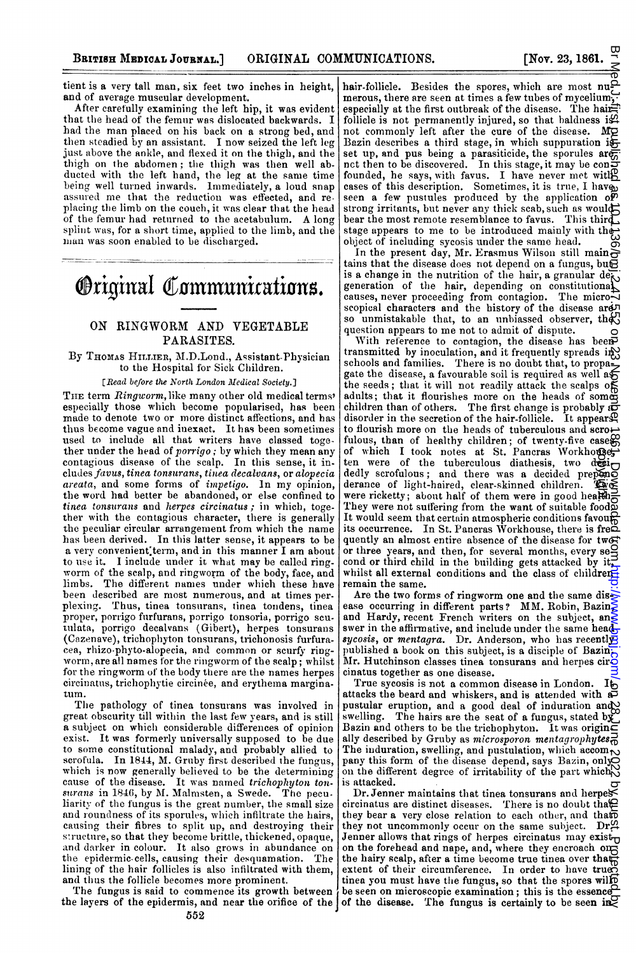tient is a very tall man, six feet two inches in height, and of average muscular development.

After carefully examining the left hip, it was evident that the head of the femur was dislocated backwards. I had the man placed on his back on <sup>a</sup> strong bed, and then steadied by an assistant. I now seized the left leg just above the ankle, and flexed it on the thigh, and the thigh on the abdomen; the thigh was then well abducted with the left hand, the leg at the same time being well turned inwards. Immediately, a loud snap assured me that the reduction was effected, and replacing the limb on the couch, it was clear that the head of the femur had returned to the acetabulum. A long splint was, for a short time, applied to the limb, and the man was soon enabled to be discharged.

# **Original Communications.**

# ON RINGWORM AND VEGETABLE PARASITES.

# By THOMAS HILLIER, M.D.Lond., Assistant-Physician to the Hospital for Sick Children.

#### [Read before the North London Medical Society.]

THE term Ringworm, like many other old medical terms' especially those which become popularised, has been made to denote two or more distinct affections, and has thus become vague and inexact. It has been sometimes used to include all that writers have classed together under the head of *porrigo*; by which they mean any contagious disease of the scalp. In this sense, it includes favus, tinea tonsurans, tinea decalvans, or alopecia areata, and some forms of impetigo. In my opinion, the word had better be abandoned, or else confined to tinea tonsurans and herpes circinatus; in which, together with the contagious character, there is generally the peculiar circular arrangement from which the name has been derived. In this latter sense, it appears to be a very convenient term, and in this manner I am about to use it. <sup>I</sup> include under it what may be called ringworm of the scalp, and ringworm of the body, face, and limbs. The different nanmes under which these have been described are most numerous, and at times perplexing. Thus, tinea tonsurans, tinea tondens, tinea proper, porrigo furfurans, porrigo tonsoria, porrigo scutmulata, porrigo decalvans (Gibert), herpes tonsurans (Cazenave), trichophyton tonsurans, tiichonosis furfuracea, rhizo-phyto-alopecia, and common or scurfy ringworm, are all names for the ringworm of the scalp; whilst for the ringworm of the body there are the names herpes circinatus, trichophytie circinée, and erythema marginatum.

The pathology of tinea tonsurans was involved in great obscurity till within the last few years, and is still a subject on which considerable differences of opinion exist. It was formerly universally supposed to be due to some constitutional malady, and probably allied to scrofula. In 1844, M. Gruby first described the fungus, which is now generally believed to be the determining cause of the disease. It was named *trichophyton ton-*<br>surans in 1846, by M. Malmsten, a Swede. The peculiarity of the fungus is the great number, the small size and roundness of its sporules, which infiltrate the hairs, causing their fibres to split up, and destroying their structure, so that they become brittle, thickened, opaque, and darker in colour. It also grows in abundance on the epidermic-cells, causing their desquamation. The lining of the hair follicles is also infiltrated with them, and thus the follicle becomes more prominent.

The fungus is said to commence its growth between the layers of the epidermis, and near the orifice of the  $\vert$  of the disease. The fungus is certainly to be seen in  $\lambda$ 

hair-follicle. Besides the spores, which are most numerous, there are seen at times a few tubes of mycelium, especially at the first outbreak of the disease. The hairfollicle is not permanently injured, so that baldness is. not commonly left after the cure of the disease. Mo Bazin describes a third stage, in which suppuration is set up, and pus being a parasiticide, the sporules are<br>nct then to be discovered. In this stage, it may be confounded, he says, with favus. I have never met with  $\beta$ cases of this description. Sometimes, it is true, I haven seen a few pustules produced by the application of strong irritants, but never any thick scab, such as would bear the most remote resemblance to favus. This third, stage appears to me to be introduced mainly with the object of including sycosis under the same head.

In the present day, Mr. Erasmus Wilson still main $\frac{S}{\Omega}$ tains that the disease does not depend on a fungus, but is a change in the nutrition of the hair, a granular details generation of the hair, depending on constitutional<br>causes, never proceeding from contagion. The microscopical characters and the history of the disease are so unmistakable that, to an unbiassed observer, the  $\mathbb{S}$ question appears to me not to admit of dispute.

With reference to contagion, the disease has been transmitted by inoculation, and it frequently spreads in schools and families. There is no doubt that, to propagate the disease, a favourable soil is required as well a $\epsilon$ <br>the seeds ; that it will not readily attack the scalps of adults; that it flourishes more on the heads of some children than of others. The first change is probably as disorder in the secretion of the hair-follicle. It appears Q to flourish more on the heads of tuberculous and scrofulous, than of healthy children; of twenty-five cases<br>of which I took notes at St. Pancras Workhouse,<br>ten were of the tuberculous diathesis, two deci-<br>decly scrofulous; and there was a decided prepone<br>derance of light-ha dedly scrofulous; and there was a decided prepone derance of light-haired, clear-skinned children. The derance of light-haired, clear-skinned children. were ricketty; about half of them were in good health; They were not suffering from the want of suitable food. It would seem that certain atmospheric conditions favour its occurrence. In St. Pancras Workhouse, there is fre $\breve{\Xi}$ quently an almost entire absence of the disease for two or three years, and then, for several months, every se $\mathcal{S}$ cond or third child in the building gets attacked by it, whilst all external conditions and the class of childrenremain the same. ka banaara ar isana xa 2202 ay hina 2022 banaaraan as iyo guuda banaaraan as 2022 banaaraan as 10.1136. An mara

Are the two forms of ringworm one and the same disease occurring in different parts? MM. Robin, Bazin $\geq$ and Hardy, recent French writers on the subject, answer in the affirmative, and include under the same head-<br>sycosis, or mentagra. Dr. Anderson, who has recently published a book on this subject, is a disciple of Bazin $\frac{1}{b}$ Mr. Hutchinson classes tinea tonsurans and herpes cir $\ddot{\textbf{c}}$ cinatus together as one disease.

True sycosis is not a common disease in London. It attacks the beard and whiskers, and is attended with a pustular eruption, and a good deal of induration and swelling. The hairs are the seat of a fungus, stated by Bazin and others to be the trichophyton. It was origin $\bar{\epsilon}$ ally described by Gruby as microsporon mentagrophytes. The induration, swelling, and pustulation, which accom $\sim$ pany this form of the disease depend, says Bazin, only on the different degree of irritability of the part which  $\mathcal{N}$ is attacked.

 $Dr.$  Jenner maintains that tinea tonsurans and herpescircinatus are distinct diseases. There is no doubt that  $\Omega$ they bear a very close relation to each other, and that they not uncommonly occur on the same subject.  $Dr\mathfrak{A}$ Jenner allows that rings of herpes circinatus may exist $_{\square}$ on the forehead and nape, and, where they encroach on the hairy scalp, after a time become true tinea over that<br>extent of their circumference. In order to have true tinea you must have the fungus, so that the spores will be seen on microscopic examination; this is the essence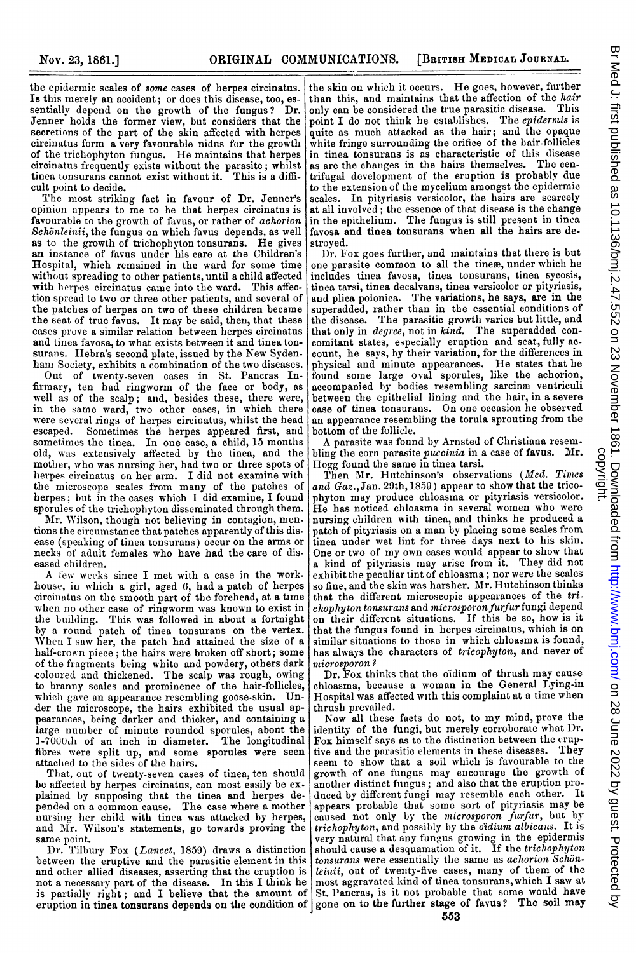the epidermic scales of some cases of herpes circinatus. Is this merely an accident; or does this disease, too, essentially depend on the growth of the fungus? Dr. Jenner holds the former view, but considers that the secretions of the part of the skin affected with herpes circinatus form a very favourable nidus for the growth of the trichophyton fungus. He maintains that herpes circinatus frequently exists without the parasite; whilst tinea tonsurans cannot exist without it. This is a difficult point to decide.

The most striking fact in favour of Dr. Jenner's opinion appears to me to be that herpes circinatus is favourable to the growth of favus, or rather of *achorion*  $Schönleinii$ , the fungus on which favus depends, as well as to the growth of trichopbyton tonsurans. He gives an instance of favus under his care at the Children's Hospital, which remained in the ward for some time without spreading to other patients, until a child affected with herpes circinatus came into the ward. This affection spread to two or three other patients, and several of the patches of herpes on two of these children became the seat of true favus. It may be said, then, that these cases prove a similar relation between herpes circinatus and tinea favosa, to what exists between it and tinea tonsurans. Hebra's second plate, issued by the New Sydenham Society, exhibits <sup>a</sup> combination of the two diseases.

Out of twenty-seven cases in St. Pancras In-firrnary, ten had ringworm of the face or body, as well as of the scalp; and, besides these, there were, in the same ward, two other cases, in which there were several rings of herpes circinatus, whilst the head escaped. Sometimes the herpes appeared first, and sometimes the tinea. In one case, <sup>a</sup> child, 15 months old, was extensively affected by the tinea, and the mother, who was nursing her, had two or three spots of herpes circinatus on her arm. I did not examine with the microscope scales from many of the patches of herpes; but in the cases which I did examine, I found sporules of the trichophyton disseminated through them.

Mr. Wilson, though not believing in contagion, mentions the circumstance that patches apparently of this disease (speaking of tinea tonsurans) occur on the arms or necks of adult females who have had the care of diseased children.

A few weeks since <sup>I</sup> met with <sup>a</sup> case in the workhouse, in which a girl, aged 6, had a patch of herpes circinatus on the smooth part of the forehead, at a time when no other case of ringworm was known to exist in the building. This was followed in about a fortnight by <sup>a</sup> round patch of tinea tonsurans on the vertex. When I saw her, the patch had attained the size of a<br>half-crown piece; the hairs were broken off short; some of the fragmenits being white and powdery, others dark coloured and thickened. The scalp was rough, owing to branny scales and prominence of the hair-follicles, which gave an appearance resembling goose-skin. Under the microscope, the hairs exhibited the usual appearances, being darker and thicker, and containing a<br>large number of minute rounded sporules, about the<br>1-7000th of an inch in diameter. The longitudinal fibres were split up, and some sporules were seen attached to the sides of the hairs.

That, out of twenty-seven cases of tinea, ten should be affected by herpes circinatus, can most easily be explained by supposing that the tinea and herpes depended on <sup>a</sup> common cause. The case where a mother nursing her child with tinea was attacked by herpes, and Alr. Wilson's statements, go towards proving the same point.

Dr. Tilbury Fox (Lancet, 1859) draws a distinction between the eruptive and the parasitic element in this and other allied diseases, asserting that the eruption is not a necessary part of the disease. In this I think he is partially right; and <sup>I</sup> believe that the amount of eruption in tinea tonsurans depends on the condition of gone on to the further stage of favus? The soil may

the skin on which it occurs. He goes, however, further than this, and maintains that the affection of the hair only can be considered the true parasitic disease. This point I do not think he establishes. The *epidermis* is quite as much attacked as the hair; and the opaque white fringe surrounding the orifice of the hair-follicles in tinea tonsurans is as characteristic of this disease as are the changes in the hairs themselves. The centrifugal development of the eruption is probably due to the extension of the mycelium amnongst the epidermic scales. In pityriasis versicolor, the hairs are scarcely at all involved; the essence of that disease is the change in the epithelium. The fungus is still present in tinea favosa and tines tonsurans when all the hairs are destroyed.

Dr. Fox goes further, and maintains that there is but one parasite common to all the tineæ, under which he includes tinea favosa, tinea tonsurans, tinea sycosis, tinea tarsi, tinea decalvans, tinea versicolor or pityriasis, and plica polonica. The variations, he says, are in the superadded, rather than in the essential conditions of the disease. The parasitic growth varies but little, and<br>that only in *degree*, not in kind. The superadded concomitant states, especially eruption and seat, fully account, he says, by their variation, for the differences in physical and minute appearances. He states that he found some large oval sporules, like the achorion, accompanied by bodies resembling sarcinæ ventriculi between the epithelial lining and the hair, in a severe case of tinea tonsurans. On one occasion he observed an appearance resembling the torula sprouting from the bottom of the follicle.

A parasite was found by Arnsted of Christiana resembling the corn parasite puccinia in <sup>a</sup> case of favus. Mr. Hogg found the same in tinea tarsi.

Then Mr. Hutchinson's observations (Med. Times and  $Gaz., Jan. 29th, 1859)$  appear to show that the tricophyton may produce eliloasma or pityriasis versicolor. He has noticed chiloasma in several women who were nursing children with tinea, and thinks he produced a patch of pityriasis en <sup>a</sup> man by placing some scales from tinea under wet lint for three days next to his skin. One or two of my own cases would appear to show that a kind of pityriasis may arise from it. They did not exhibit the peculiar tint of chloasma; nor were the scales so fine, and the skin was harsher. Mr. Hutchinson thinks that the different microscopic appearances of the tri- $\emph{chophyton}$  tonsurans and microsporon furfur fungi depend on their different situations. If this be so, how is it that the fungus found in herpes circinatus, which is on similar situations to those in which chloasma is found, has always the characters of tricophyton, and never of microsporon?

Dr. Fox thinks that the oidium of thrush may cause chloasma, because a woman in the General Lying-in Hospital was affected with this complaint at a time when thrush prevailed.

Now all these facts do not, to my mind, prove the identity of the fungi, hut merely corroborate what Dr. Fox himself says as to the distinction between the eruptive and the parasitic elements in these diseases. They seem to show that a soil which is favourable to the growth of one fungus may encourage the growth of another distinct fungus; and also that the eruption produced by different fungi may resemble each other. It appears probable that some sort of pityriasis may be caused not only by the microsporon furfur, but by trichophyton, and possibly by the oidium albicans. It is very natural that any fungus growing in the epidermis should cause a desquamation of it. If the trichophyton tonsurans were essentially the same as  $a$ chorion  $S$ chonleinii, out of twenty-five cases, many of them of the most aggravated kind of tinea tonsurans, which I saw at St. Pancras, is it not probable that some would have